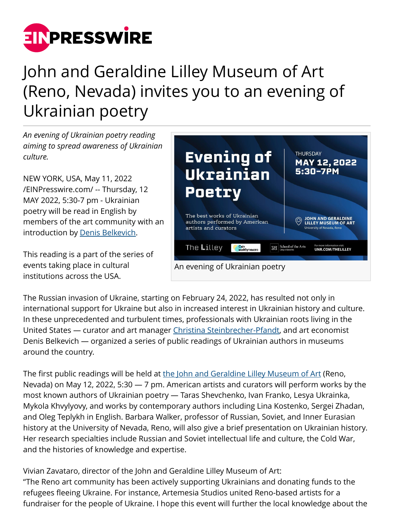

## John and Geraldine Lilley Museum of Art (Reno, Nevada) invites you to an evening of Ukrainian poetry

*An evening of Ukrainian poetry reading aiming to spread awareness of Ukrainian culture.*

NEW YORK, USA, May 11, 2022 [/EINPresswire.com/](http://www.einpresswire.com) -- Thursday, 12 MAY 2022, 5:30-7 pm - Ukrainian poetry will be read in English by members of the art community with an introduction by [Denis Belkevich.](https://www.linkedin.com/in/dbelkevich/)

This reading is a part of the series of events taking place in cultural institutions across the USA.



The Russian invasion of Ukraine, starting on February 24, 2022, has resulted not only in international support for Ukraine but also in increased interest in Ukrainian history and culture. In these unprecedented and turbulent times, professionals with Ukrainian roots living in the United States — curator and art manager [Christina Steinbrecher-Pfandt](https://www.linkedin.com/in/christina-steinbrecher-pfandt-b4026827/), and art economist Denis Belkevich — organized a series of public readings of Ukrainian authors in museums around the country.

The first public readings will be held at [the John and Geraldine Lilley Museum of Art](https://www.unr.edu/art/museum) (Reno, Nevada) on May 12, 2022, 5:30 — 7 pm. American artists and curators will perform works by the most known authors of Ukrainian poetry — Taras Shevchenko, Ivan Franko, Lesya Ukrainka, Mykola Khvylyovy, and works by contemporary authors including Lina Kostenko, Sergei Zhadan, and Oleg Teplykh in English. Barbara Walker, professor of Russian, Soviet, and Inner Eurasian history at the University of Nevada, Reno, will also give a brief presentation on Ukrainian history. Her research specialties include Russian and Soviet intellectual life and culture, the Cold War, and the histories of knowledge and expertise.

Vivian Zavataro, director of the John and Geraldine Lilley Museum of Art: "The Reno art community has been actively supporting Ukrainians and donating funds to the refugees fleeing Ukraine. For instance, Artemesia Studios united Reno-based artists for a fundraiser for the people of Ukraine. I hope this event will further the local knowledge about the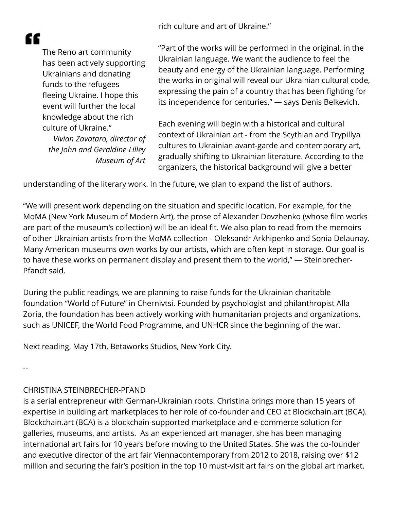rich culture and art of Ukraine."

## "

The Reno art community has been actively supporting Ukrainians and donating funds to the refugees fleeing Ukraine. I hope this event will further the local knowledge about the rich culture of Ukraine."

*Vivian Zavataro, director of the John and Geraldine Lilley Museum of Art*

"Part of the works will be performed in the original, in the Ukrainian language. We want the audience to feel the beauty and energy of the Ukrainian language. Performing the works in original will reveal our Ukrainian cultural code, expressing the pain of a country that has been fighting for its independence for centuries," — says Denis Belkevich.

Each evening will begin with a historical and cultural context of Ukrainian art - from the Scythian and Trypillya cultures to Ukrainian avant-garde and contemporary art, gradually shifting to Ukrainian literature. According to the organizers, the historical background will give a better

understanding of the literary work. In the future, we plan to expand the list of authors.

"We will present work depending on the situation and specific location. For example, for the MoMA (New York Museum of Modern Art), the prose of Alexander Dovzhenko (whose film works are part of the museum's collection) will be an ideal fit. We also plan to read from the memoirs of other Ukrainian artists from the MoMA collection - Oleksandr Arkhipenko and Sonia Delaunay. Many American museums own works by our artists, which are often kept in storage. Our goal is to have these works on permanent display and present them to the world," — Steinbrecher-Pfandt said.

During the public readings, we are planning to raise funds for the Ukrainian charitable foundation "World of Future" in Chernivtsi. Founded by psychologist and philanthropist Alla Zoria, the foundation has been actively working with humanitarian projects and organizations, such as UNICEF, the World Food Programme, and UNHCR since the beginning of the war.

Next reading, May 17th, Betaworks Studios, New York City.

--

## CHRISTINA STEINBRECHER-PFAND

is a serial entrepreneur with German-Ukrainian roots. Christina brings more than 15 years of expertise in building art marketplaces to her role of co-founder and CEO at Blockchain.art (BCA). Blockchain.art (BCA) is a blockchain-supported marketplace and e-commerce solution for galleries, museums, and artists. As an experienced art manager, she has been managing international art fairs for 10 years before moving to the United States. She was the co-founder and executive director of the art fair Viennacontemporary from 2012 to 2018, raising over \$12 million and securing the fair's position in the top 10 must-visit art fairs on the global art market.